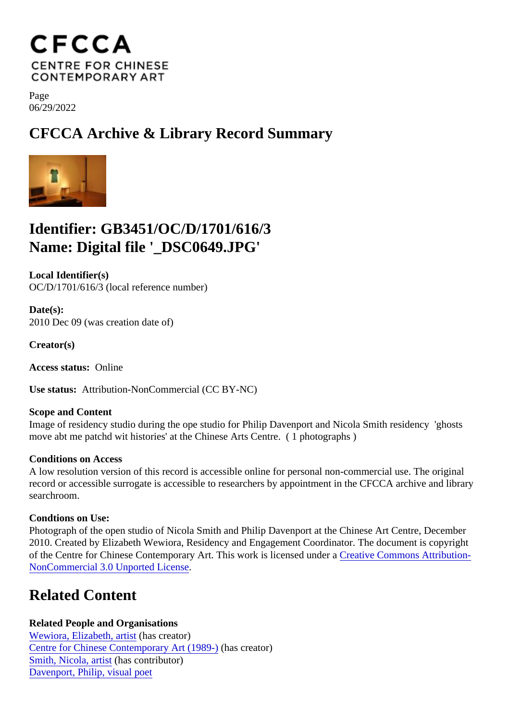Page 06/29/2022

CFCCA Archive & Library Record Summary

## Identifier: GB3451/OC/D/1701/616/3 Name: Digital file '\_DSC0649.JPG'

Local Identifier(s) OC/D/1701/616/3 (local reference number)

Date(s): 2010 Dec 09 (was creation date of)

Creator(s)

Access status: Online

Use status: Attribution-NonCommercial (CC BY-NC)

Scope and Content Image of residency studio during the ope studio for Philip Davenport and Nicola Smith residency 'ghosts move abt me patchd wit histories' at the Chinese Arts Centre. ( 1 photographs )

Conditions on Access

A low resolution version of this record is accessible online for personal non-commercial use. The original record or accessible surrogate is accessible to researchers by appointment in the CFCCA archive and libr searchroom.

Condtions on Use:

Photograph of the open studio of Nicola Smith and Philip Davenport at the Chinese Art Centre, December 2010. Created by Elizabeth Wewiora, Residency and Engagement Coordinator. The document is copyright of the Centre for Chinese Contemporary Art. This work is licensed underative Commons Attribution-[NonCommercial 3.0 Unported Licen](https://creativecommons.org/licenses/by-nc/3.0/)se .

## Related Content

Related People and Organisations [Wewiora, Elizabeth, arti](/index.php/Detail/entities/751)shas creator) [Centre for Chinese Contemporary Art \(198](/index.php/Detail/entities/2)0a)creator) [Smith, Nicola, artis](/index.php/Detail/entities/645)thascontributor) [Davenport, Philip, visual po](/index.php/Detail/entities/646)et